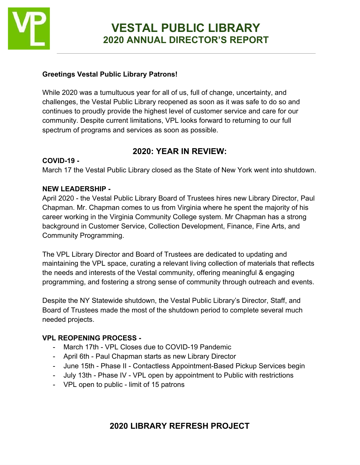

#### **Greetings Vestal Public Library Patrons!**

While 2020 was a tumultuous year for all of us, full of change, uncertainty, and challenges, the Vestal Public Library reopened as soon as it was safe to do so and continues to proudly provide the highest level of customer service and care for our community. Despite current limitations, VPL looks forward to returning to our full spectrum of programs and services as soon as possible.

#### **2020: YEAR IN REVIEW:**

#### **COVID-19 -**

March 17 the Vestal Public Library closed as the State of New York went into shutdown.

#### **NEW LEADERSHIP -**

April 2020 - the Vestal Public Library Board of Trustees hires new Library Director, Paul Chapman. Mr. Chapman comes to us from Virginia where he spent the majority of his career working in the Virginia Community College system. Mr Chapman has a strong background in Customer Service, Collection Development, Finance, Fine Arts, and Community Programming.

The VPL Library Director and Board of Trustees are dedicated to updating and maintaining the VPL space, curating a relevant living collection of materials that reflects the needs and interests of the Vestal community, offering meaningful & engaging programming, and fostering a strong sense of community through outreach and events.

Despite the NY Statewide shutdown, the Vestal Public Library's Director, Staff, and Board of Trustees made the most of the shutdown period to complete several much needed projects.

#### **VPL REOPENING PROCESS -**

- March 17th VPL Closes due to COVID-19 Pandemic
- April 6th Paul Chapman starts as new Library Director
- June 15th Phase II Contactless Appointment-Based Pickup Services begin
- July 13th Phase IV VPL open by appointment to Public with restrictions
- VPL open to public limit of 15 patrons

## **2020 LIBRARY REFRESH PROJECT**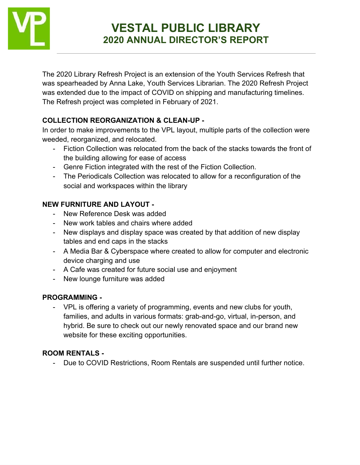

# **VESTAL PUBLIC LIBRARY 2020 ANNUAL DIRECTOR'S REPORT**

The 2020 Library Refresh Project is an extension of the Youth Services Refresh that was spearheaded by Anna Lake, Youth Services Librarian. The 2020 Refresh Project was extended due to the impact of COVID on shipping and manufacturing timelines. The Refresh project was completed in February of 2021.

## **COLLECTION REORGANIZATION & CLEAN-UP -**

In order to make improvements to the VPL layout, multiple parts of the collection were weeded, reorganized, and relocated.

- Fiction Collection was relocated from the back of the stacks towards the front of the building allowing for ease of access
- Genre Fiction integrated with the rest of the Fiction Collection.
- The Periodicals Collection was relocated to allow for a reconfiguration of the social and workspaces within the library

## **NEW FURNITURE AND LAYOUT -**

- New Reference Desk was added
- New work tables and chairs where added
- New displays and display space was created by that addition of new display tables and end caps in the stacks
- A Media Bar & Cyberspace where created to allow for computer and electronic device charging and use
- A Cafe was created for future social use and enjoyment
- New lounge furniture was added

## **PROGRAMMING -**

- VPL is offering a variety of programming, events and new clubs for youth, families, and adults in various formats: grab-and-go, virtual, in-person, and hybrid. Be sure to check out our newly renovated space and our brand new website for these exciting opportunities.

## **ROOM RENTALS -**

- Due to COVID Restrictions, Room Rentals are suspended until further notice.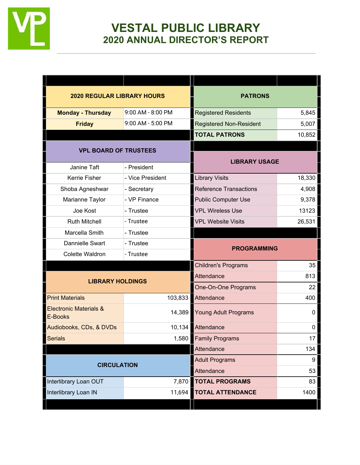

## **VESTAL PUBLIC LIBRARY 2020 ANNUAL DIRECTOR'S REPORT**

| <b>2020 REGULAR LIBRARY HOURS</b>            |                   | <b>PATRONS</b>                 |        |
|----------------------------------------------|-------------------|--------------------------------|--------|
| <b>Monday - Thursday</b>                     | 9:00 AM - 8:00 PM | <b>Registered Residents</b>    | 5,845  |
| <b>Friday</b>                                | 9:00 AM - 5:00 PM | <b>Registered Non-Resident</b> | 5,007  |
|                                              |                   | <b>TOTAL PATRONS</b>           | 10,852 |
| <b>VPL BOARD OF TRUSTEES</b>                 |                   | <b>LIBRARY USAGE</b>           |        |
| Janine Taft                                  | - President       |                                |        |
| Kerrie Fisher                                | - Vice President  | <b>Library Visits</b>          | 18,330 |
| Shoba Agneshwar                              | - Secretary       | <b>Reference Transactions</b>  | 4,908  |
| Marianne Taylor                              | - VP Finance      | <b>Public Computer Use</b>     | 9,378  |
| Joe Kost                                     | - Trustee         | <b>VPL Wireless Use</b>        | 13123  |
| <b>Ruth Mitchell</b>                         | - Trustee         | <b>VPL Website Visits</b>      | 26,531 |
| Marcella Smith                               | - Trustee         |                                |        |
| Dannielle Swart                              | - Trustee         | <b>PROGRAMMING</b>             |        |
| Colette Waldron                              | - Trustee         |                                |        |
|                                              |                   | <b>Children's Programs</b>     | 35     |
| <b>LIBRARY HOLDINGS</b>                      |                   | Attendance                     | 813    |
|                                              |                   | One-On-One Programs            | 22     |
| <b>Print Materials</b>                       | 103,833           | Attendance                     | 400    |
| <b>Electronic Materials &amp;</b><br>E-Books | 14,389            | Young Adult Programs           | 0      |
| Audiobooks, CDs, & DVDs                      | 10,134            | Attendance                     | 0      |
| <b>Serials</b>                               | 1,580             | <b>Family Programs</b>         | 17     |
|                                              |                   | Attendance                     | 134    |
| <b>CIRCULATION</b>                           |                   | <b>Adult Programs</b>          | 9      |
|                                              |                   | Attendance                     | 53     |
| Interlibrary Loan OUT                        | 7,870             | <b>TOTAL PROGRAMS</b>          | 83     |
| Interlibrary Loan IN                         | 11,694            | <b>TOTAL ATTENDANCE</b>        | 1400   |
|                                              |                   |                                |        |